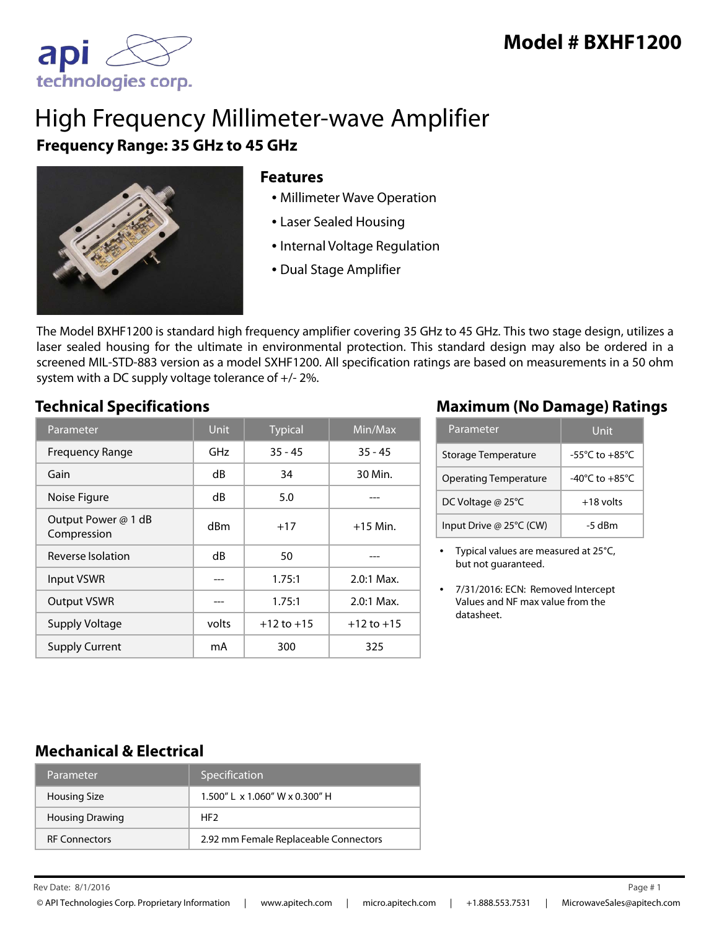

# High Frequency Millimeter-wave Amplifier **Frequency Range: 35 GHz to 45 GHz**



#### **Features**

- Millimeter Wave Operation
- Laser Sealed Housing
- Internal Voltage Regulation
- Dual Stage Amplifier

The Model BXHF1200 is standard high frequency amplifier covering 35 GHz to 45 GHz. This two stage design, utilizes a laser sealed housing for the ultimate in environmental protection. This standard design may also be ordered in a screened MIL-STD-883 version as a model SXHF1200. All specification ratings are based on measurements in a 50 ohm system with a DC supply voltage tolerance of +/- 2%.

| Parameter                          | <b>Unit</b> | <b>Typical</b> | Min/Max        |
|------------------------------------|-------------|----------------|----------------|
| <b>Frequency Range</b>             | GHz         | $35 - 45$      | $35 - 45$      |
| Gain                               | dB          | 34             | 30 Min.        |
| Noise Figure                       | dB          | 5.0            |                |
| Output Power @ 1 dB<br>Compression | dBm         | $+17$          | $+15$ Min.     |
| Reverse Isolation                  | dB          | 50             |                |
| Input VSWR                         |             | 1.75:1         | $2.0:1$ Max.   |
| <b>Output VSWR</b>                 |             | 1.75:1         | $2.0:1$ Max.   |
| <b>Supply Voltage</b>              | volts       | $+12$ to $+15$ | $+12$ to $+15$ |
| <b>Supply Current</b>              | mA          | 300            | 325            |

### **Technical Specifications Maximum (No Damage) Ratings**

| Parameter                    | Unit                                 |  |
|------------------------------|--------------------------------------|--|
| Storage Temperature          | $-55^{\circ}$ C to $+85^{\circ}$ C   |  |
| <b>Operating Temperature</b> | -40 $^{\circ}$ C to +85 $^{\circ}$ C |  |
| DC Voltage @ 25°C            | $+18$ volts                          |  |
| Input Drive @ 25°C (CW)      | $-5$ dBm                             |  |

• Typical values are measured at 25°C, but not guaranteed.

#### **Mechanical & Electrical**

| Parameter              | Specification                         |
|------------------------|---------------------------------------|
| <b>Housing Size</b>    | 1.500" L x 1.060" W x 0.300" H        |
| <b>Housing Drawing</b> | HF <sub>2</sub>                       |
| <b>RF Connectors</b>   | 2.92 mm Female Replaceable Connectors |

Rev Date: Page # 8/1/2016 1

<sup>•</sup> 7/31/2016: ECN: Removed Intercept Values and NF max value from the datasheet.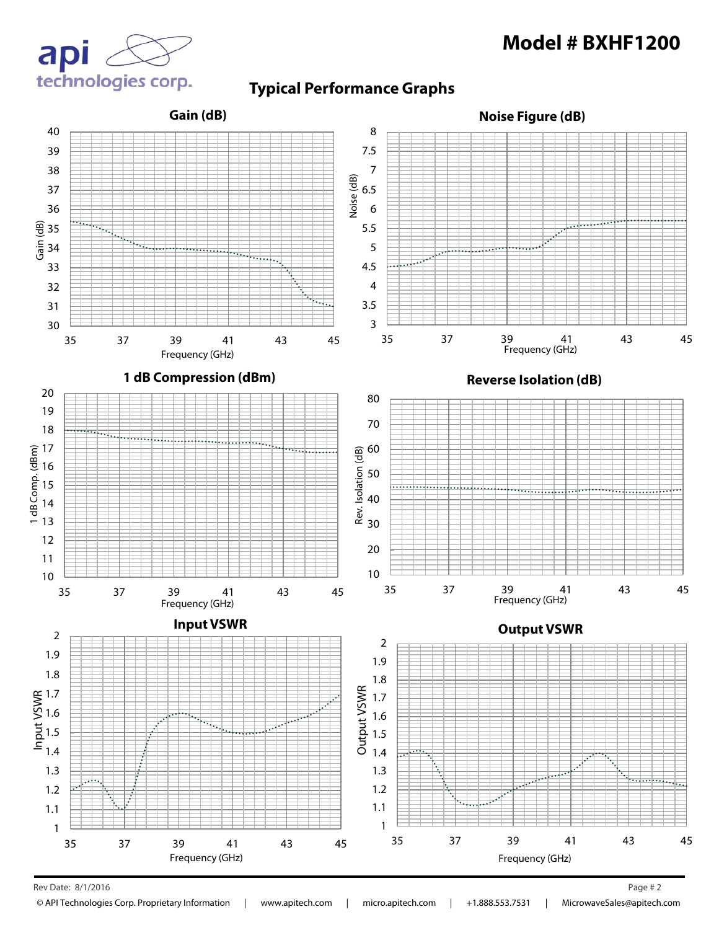

#### **Typical Performance Graphs**